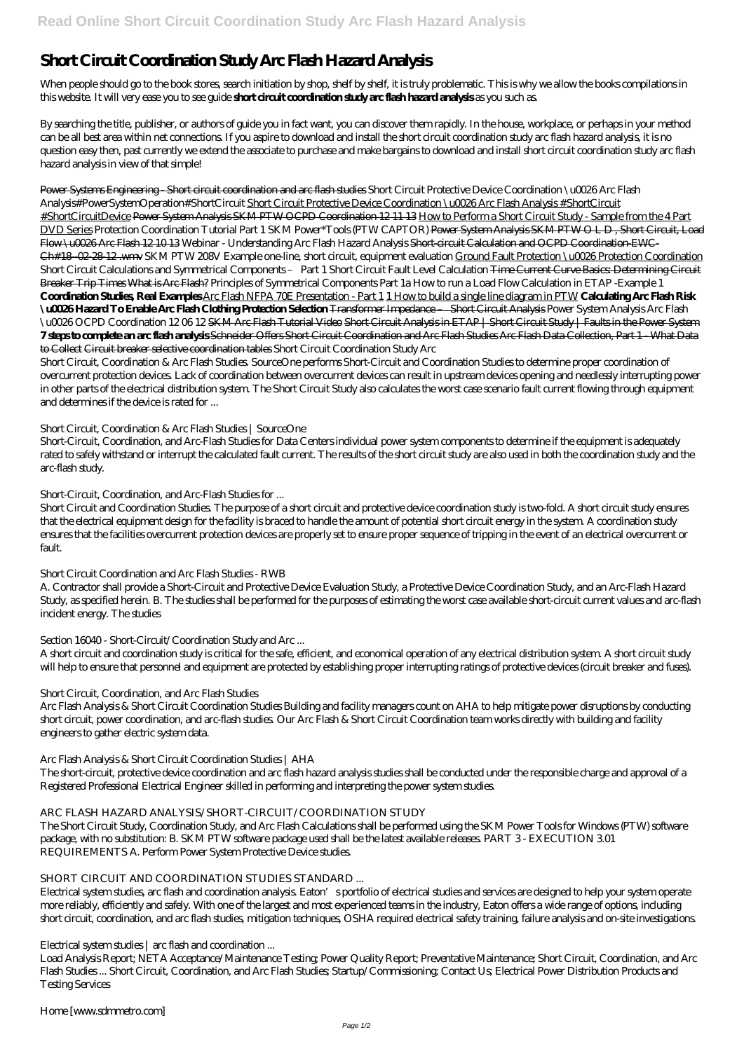# **Short Circuit Coordination Study Arc Flash Hazard Analysis**

When people should go to the book stores, search initiation by shop, shelf by shelf, it is truly problematic. This is why we allow the books compilations in this website. It will very ease you to see guide **short circuit coordination study arc flash hazard analysis** as you such as.

By searching the title, publisher, or authors of guide you in fact want, you can discover them rapidly. In the house, workplace, or perhaps in your method can be all best area within net connections. If you aspire to download and install the short circuit coordination study arc flash hazard analysis, it is no question easy then, past currently we extend the associate to purchase and make bargains to download and install short circuit coordination study arc flash hazard analysis in view of that simple!

Power Systems Engineering - Short circuit coordination and arc flash studies Short Circuit Protective Device Coordination \u0026 Arc Flash Analysis#PowerSystemOperation#ShortCircuit Short Circuit Protective Device Coordination \u0026 Arc Flash Analysis #ShortCircuit #ShortCircuitDevice Power System Analysis SKM PTW OCPD Coordination 12 11 13 How to Perform a Short Circuit Study - Sample from the 4 Part DVD Series *Protection Coordination Tutorial Part 1* SKM Power\*Tools (PTW CAPTOR) Power System Analysis SKM PTW O L D , Short Circuit, Load Flow \u0026 Arc Flash 12 10 13 *Webinar - Understanding Arc Flash Hazard Analysis* Short-circuit Calculation and OCPD Coordination-EWC-Ch#18-02-28-12 .wmv *SKM PTW 208V Example one-line, short circuit, equipment evaluation* Ground Fault Protection \u0026 Protection Coordination *Short Circuit Calculations and Symmetrical Components – Part 1 Short Circuit Fault Level Calculation* Time Current Curve Basics: Determining Circuit Breaker Trip Times What is Arc Flash? Principles of Symmetrical Components Part 1a *How to run a Load Flow Calculation in ETAP -Example 1* **Coordination Studies, Real Examples** Arc Flash NFPA 70E Presentation - Part 1 1 How to build a single line diagram in PTW **Calculating Arc Flash Risk \u0026 Hazard To Enable Arc Flash Clothing Protection Selection** Transformer Impedance – Short Circuit Analysis *Power System Analysis Arc Flash \u0026 OCPD Coordination 12 06 12* SKM Arc Flash Tutorial Video Short Circuit Analysis in ETAP | Short Circuit Study | Faults in the Power System **7 steps to complete an arc flash analysis** Schneider Offers Short Circuit Coordination and Arc Flash Studies Arc Flash Data Collection, Part 1 - What Data to Collect Circuit breaker selective coordination tables *Short Circuit Coordination Study Arc*

Short Circuit, Coordination & Arc Flash Studies. SourceOne performs Short-Circuit and Coordination Studies to determine proper coordination of overcurrent protection devices. Lack of coordination between overcurrent devices can result in upstream devices opening and needlessly interrupting power in other parts of the electrical distribution system. The Short Circuit Study also calculates the worst case scenario fault current flowing through equipment and determines if the device is rated for ...

## *Short Circuit, Coordination & Arc Flash Studies | SourceOne*

Short-Circuit, Coordination, and Arc-Flash Studies for Data Centers individual power system components to determine if the equipment is adequately rated to safely withstand or interrupt the calculated fault current. The results of the short circuit study are also used in both the coordination study and the arc-flash study.

# *Short-Circuit, Coordination, and Arc-Flash Studies for ...*

Short Circuit and Coordination Studies. The purpose of a short circuit and protective device coordination study is two-fold. A short circuit study ensures that the electrical equipment design for the facility is braced to handle the amount of potential short circuit energy in the system. A coordination study ensures that the facilities overcurrent protection devices are properly set to ensure proper sequence of tripping in the event of an electrical overcurrent or fault.

# *Short Circuit Coordination and Arc Flash Studies - RWB*

A. Contractor shall provide a Short-Circuit and Protective Device Evaluation Study, a Protective Device Coordination Study, and an Arc-Flash Hazard Study, as specified herein. B. The studies shall be performed for the purposes of estimating the worst case available short-circuit current values and arc-flash incident energy. The studies

# *Section 16040 - Short-Circuit/Coordination Study and Arc ...*

A short circuit and coordination study is critical for the safe, efficient, and economical operation of any electrical distribution system. A short circuit study will help to ensure that personnel and equipment are protected by establishing proper interrupting ratings of protective devices (circuit breaker and fuses).

# *Short Circuit, Coordination, and Arc Flash Studies*

Arc Flash Analysis & Short Circuit Coordination Studies Building and facility managers count on AHA to help mitigate power disruptions by conducting short circuit, power coordination, and arc-flash studies. Our Arc Flash & Short Circuit Coordination team works directly with building and facility engineers to gather electric system data.

# *Arc Flash Analysis & Short Circuit Coordination Studies | AHA*

The short-circuit, protective device coordination and arc flash hazard analysis studies shall be conducted under the responsible charge and approval of a Registered Professional Electrical Engineer skilled in performing and interpreting the power system studies.

## *ARC FLASH HAZARD ANALYSIS/SHORT-CIRCUIT/COORDINATION STUDY* The Short Circuit Study, Coordination Study, and Arc Flash Calculations shall be performed using the SKM Power Tools for Windows (PTW) software package, with no substitution: B. SKM PTW software package used shall be the latest available releases. PART 3 - EXECUTION 3.01 REQUIREMENTS A. Perform Power System Protective Device studies.

### *SHORT CIRCUIT AND COORDINATION STUDIES STANDARD ...*

Electrical system studies, arc flash and coordination analysis. Eaton's portfolio of electrical studies and services are designed to help your system operate more reliably, efficiently and safely. With one of the largest and most experienced teams in the industry, Eaton offers a wide range of options, including short circuit, coordination, and arc flash studies, mitigation techniques, OSHA required electrical safety training, failure analysis and on-site investigations.

### *Electrical system studies | arc flash and coordination ...*

Load Analysis Report; NETA Acceptance/Maintenance Testing; Power Quality Report; Preventative Maintenance; Short Circuit, Coordination, and Arc Flash Studies ... Short Circuit, Coordination, and Arc Flash Studies; Startup/Commissioning; Contact Us; Electrical Power Distribution Products and Testing Services

*Home [www.sdmmetro.com]*